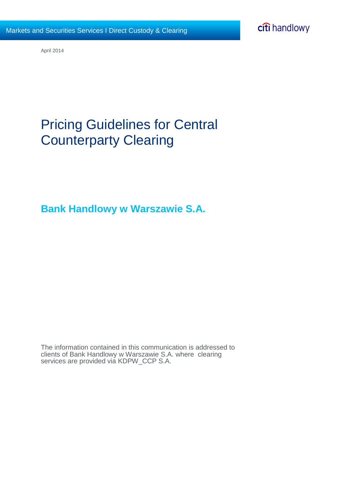

April 2014

## Pricing Guidelines for Central Counterparty Clearing

**Bank Handlowy w Warszawie S.A.**

The information contained in this communication is addressed to clients of Bank Handlowy w Warszawie S.A. where clearing services are provided via KDPW\_CCP S.A.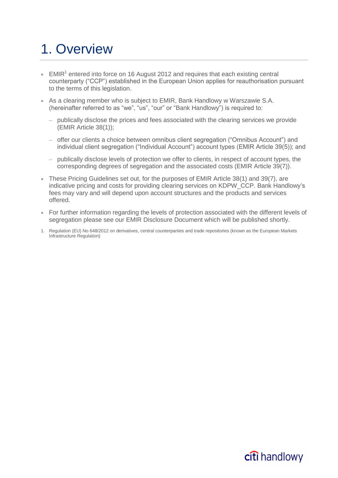# 1. Overview

- $\bullet$  EMIR<sup>1</sup> entered into force on 16 August 2012 and requires that each existing central counterparty ("CCP") established in the European Union applies for reauthorisation pursuant to the terms of this legislation.
- As a clearing member who is subject to EMIR, Bank Handlowy w Warszawie S.A. (hereinafter referred to as "we", "us", "our" or "Bank Handlowy") is required to:
	- publically disclose the prices and fees associated with the clearing services we provide (EMIR Article 38(1));
	- offer our clients a choice between omnibus client segregation ("Omnibus Account") and individual client segregation ("Individual Account") account types (EMIR Article 39(5)); and
	- publically disclose levels of protection we offer to clients, in respect of account types, the corresponding degrees of segregation and the associated costs (EMIR Article 39(7)).
- These Pricing Guidelines set out, for the purposes of EMIR Article 38(1) and 39(7), are indicative pricing and costs for providing clearing services on KDPW\_CCP. Bank Handlowy's fees may vary and will depend upon account structures and the products and services offered.
- For further information regarding the levels of protection associated with the different levels of segregation please see our EMIR Disclosure Document which will be published shortly.
- 1. Regulation (EU) No 648/2012 on derivatives, central counterparties and trade repositories (known as the European Markets Infrastructure Regulation)

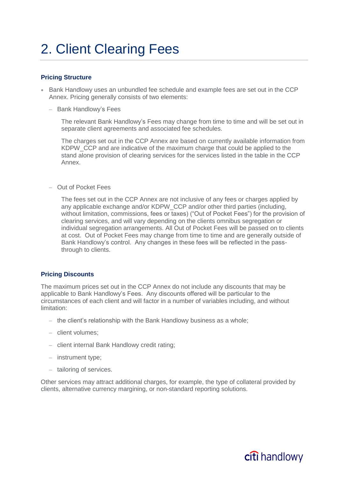## 2. Client Clearing Fees

### **Pricing Structure**

- Bank Handlowy uses an unbundled fee schedule and example fees are set out in the CCP Annex. Pricing generally consists of two elements:
	- Bank Handlowy's Fees

The relevant Bank Handlowy's Fees may change from time to time and will be set out in separate client agreements and associated fee schedules.

The charges set out in the CCP Annex are based on currently available information from KDPW CCP and are indicative of the maximum charge that could be applied to the stand alone provision of clearing services for the services listed in the table in the CCP Annex.

– Out of Pocket Fees

The fees set out in the CCP Annex are not inclusive of any fees or charges applied by any applicable exchange and/or KDPW\_CCP and/or other third parties (including, without limitation, commissions, fees or taxes) ("Out of Pocket Fees") for the provision of clearing services, and will vary depending on the clients omnibus segregation or individual segregation arrangements. All Out of Pocket Fees will be passed on to clients at cost. Out of Pocket Fees may change from time to time and are generally outside of Bank Handlowy's control. Any changes in these fees will be reflected in the passthrough to clients.

### **Pricing Discounts**

The maximum prices set out in the CCP Annex do not include any discounts that may be applicable to Bank Handlowy's Fees. Any discounts offered will be particular to the circumstances of each client and will factor in a number of variables including, and without limitation:

- the client's relationship with the Bank Handlowy business as a whole;
- client volumes;
- client internal Bank Handlowy credit rating;
- instrument type;
- tailoring of services.

Other services may attract additional charges, for example, the type of collateral provided by clients, alternative currency margining, or non-standard reporting solutions.

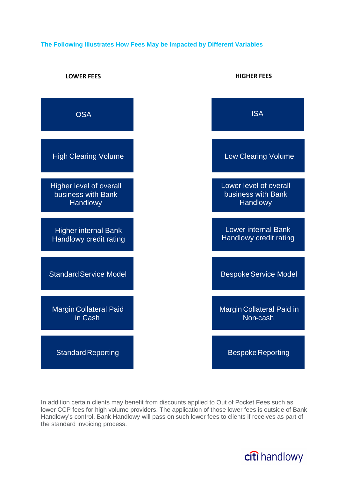## **The Following Illustrates How Fees May be Impacted by Different Variables**



In addition certain clients may benefit from discounts applied to Out of Pocket Fees such as lower CCP fees for high volume providers. The application of those lower fees is outside of Bank Handlowy's control. Bank Handlowy will pass on such lower fees to clients if receives as part of the standard invoicing process.

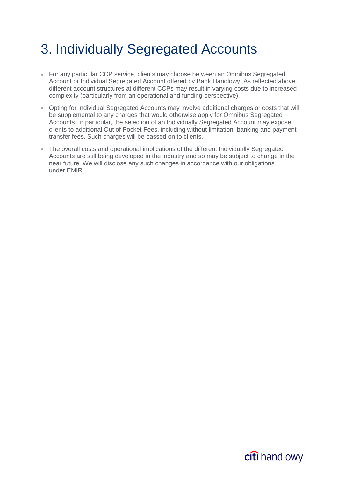# 3. Individually Segregated Accounts

- For any particular CCP service, clients may choose between an Omnibus Segregated Account or Individual Segregated Account offered by Bank Handlowy. As reflected above, different account structures at different CCPs may result in varying costs due to increased complexity (particularly from an operational and funding perspective).
- Opting for Individual Segregated Accounts may involve additional charges or costs that will be supplemental to any charges that would otherwise apply for Omnibus Segregated Accounts. In particular, the selection of an Individually Segregated Account may expose clients to additional Out of Pocket Fees, including without limitation, banking and payment transfer fees. Such charges will be passed on to clients.
- The overall costs and operational implications of the different Individually Segregated Accounts are still being developed in the industry and so may be subject to change in the near future. We will disclose any such changes in accordance with our obligations under EMIR.

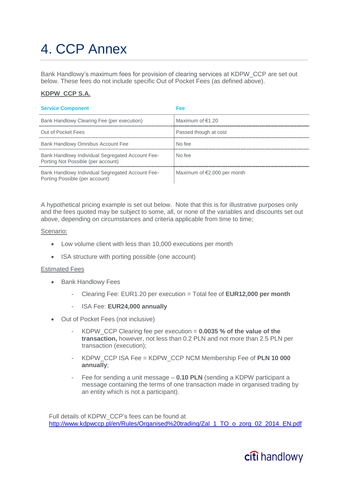# 4. CCP Annex

Bank Handlowy's maximum fees for provision of clearing services at KDPW\_CCP are set out below. These fees do not include specific Out of Pocket Fees (as defined above).

## **KDPW\_CCP S.A.**

#### **Service Component Fee**

| Bank Handlowy Clearing Fee (per execution)                                             | Maximum of $€1.20$            |
|----------------------------------------------------------------------------------------|-------------------------------|
| Out of Pocket Fees                                                                     | Passed though at cost         |
| Bank Handlowy Omnibus Account Fee                                                      | No fee                        |
| Bank Handlowy Individual Segregated Account Fee-<br>Porting Not Possible (per account) | No fee                        |
| Bank Handlowy Individual Segregated Account Fee-<br>Porting Possible (per account)     | Maximum of $E$ ,000 per month |

A hypothetical pricing example is set out below. Note that this is for illustrative purposes only and the fees quoted may be subject to some, all, or none of the variables and discounts set out above, depending on circumstances and criteria applicable from time to time;

#### Scenario:

- Low volume client with less than 10,000 executions per month
- ISA structure with porting possible (one account)

#### Estimated Fees

- Bank Handlowy Fees
	- Clearing Fee: EUR1.20 per execution = Total fee of **EUR12,000 per month**
	- ISA Fee: **EUR24,000 annually**
- Out of Pocket Fees (not inclusive)
	- KDPW\_CCP Clearing fee per execution = **0.0035 % of the value of the transaction,** however, not less than 0.2 PLN and not more than 2.5 PLN per transaction (execution);
	- KDPW\_CCP ISA Fee = KDPW\_CCP NCM Membership Fee of **PLN 10 000 annually**;
	- Fee for sending a unit message **0.10 PLN** (sending a KDPW participant a message containing the terms of one transaction made in organised trading by an entity which is not a participant).

Full details of KDPW\_CCP's fees can be found at [http://www.kdpwccp.pl/en/Rules/Organised%20trading/Zal\\_1\\_TO\\_o\\_zorg\\_02\\_2014\\_EN.pdf](http://www.kdpwccp.pl/en/Rules/Organised%20trading/Zal_1_TO_o_zorg_02_2014_EN.pdf)